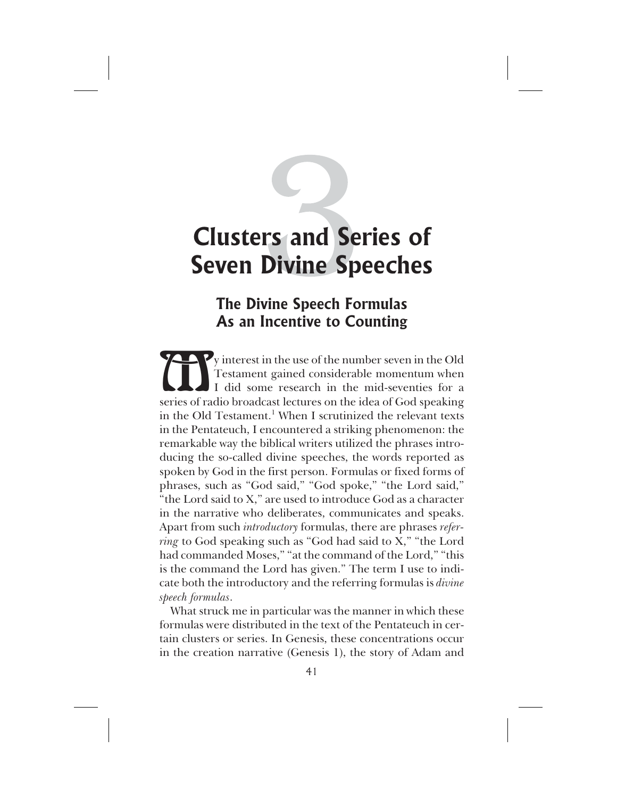## **The Divine Speech Formulas As an Incentive to Counting**

Vy interest in the use of the number seven in the Old<br>
Testament gained considerable momentum when<br>
I did some research in the mid-seventies for a<br>
series of radio broadcast lectures on the idea of God speaking Testament gained considerable momentum when I did some research in the mid-seventies for a series of radio broadcast lectures on the idea of God speaking in the Old Testament.<sup>1</sup> When I scrutinized the relevant texts in the Pentateuch, I encountered a striking phenomenon: the remarkable way the biblical writers utilized the phrases introducing the so-called divine speeches, the words reported as spoken by God in the first person. Formulas or fixed forms of phrases, such as "God said," "God spoke," "the Lord said," "the Lord said to X," are used to introduce God as a character in the narrative who deliberates, communicates and speaks. Apart from such *introductory* formulas, there are phrases *referring* to God speaking such as "God had said to X," "the Lord had commanded Moses," "at the command of the Lord," "this is the command the Lord has given." The term I use to indicate both the introductory and the referring formulas is *divine speech formulas*.

What struck me in particular was the manner in which these formulas were distributed in the text of the Pentateuch in certain clusters or series. In Genesis, these concentrations occur in the creation narrative (Genesis 1), the story of Adam and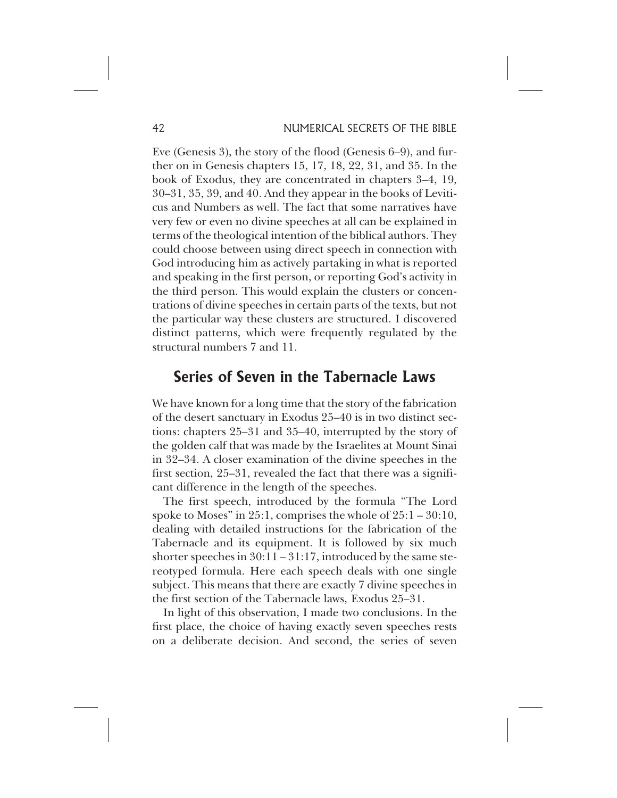Eve (Genesis 3), the story of the flood (Genesis 6–9), and further on in Genesis chapters 15, 17, 18, 22, 31, and 35. In the book of Exodus, they are concentrated in chapters 3–4, 19, 30–31, 35, 39, and 40. And they appear in the books of Leviticus and Numbers as well. The fact that some narratives have very few or even no divine speeches at all can be explained in terms of the theological intention of the biblical authors. They could choose between using direct speech in connection with God introducing him as actively partaking in what is reported and speaking in the first person, or reporting God's activity in the third person. This would explain the clusters or concentrations of divine speeches in certain parts of the texts, but not the particular way these clusters are structured. I discovered distinct patterns, which were frequently regulated by the structural numbers 7 and 11.

## **Series of Seven in the Tabernacle Laws**

We have known for a long time that the story of the fabrication of the desert sanctuary in Exodus 25–40 is in two distinct sections: chapters 25–31 and 35–40, interrupted by the story of the golden calf that was made by the Israelites at Mount Sinai in 32–34. A closer examination of the divine speeches in the first section, 25–31, revealed the fact that there was a significant difference in the length of the speeches.

The first speech, introduced by the formula "The Lord spoke to Moses" in 25:1, comprises the whole of 25:1 – 30:10, dealing with detailed instructions for the fabrication of the Tabernacle and its equipment. It is followed by six much shorter speeches in  $30:11 - 31:17$ , introduced by the same stereotyped formula. Here each speech deals with one single subject. This means that there are exactly 7 divine speeches in the first section of the Tabernacle laws, Exodus 25–31.

In light of this observation, I made two conclusions. In the first place, the choice of having exactly seven speeches rests on a deliberate decision. And second, the series of seven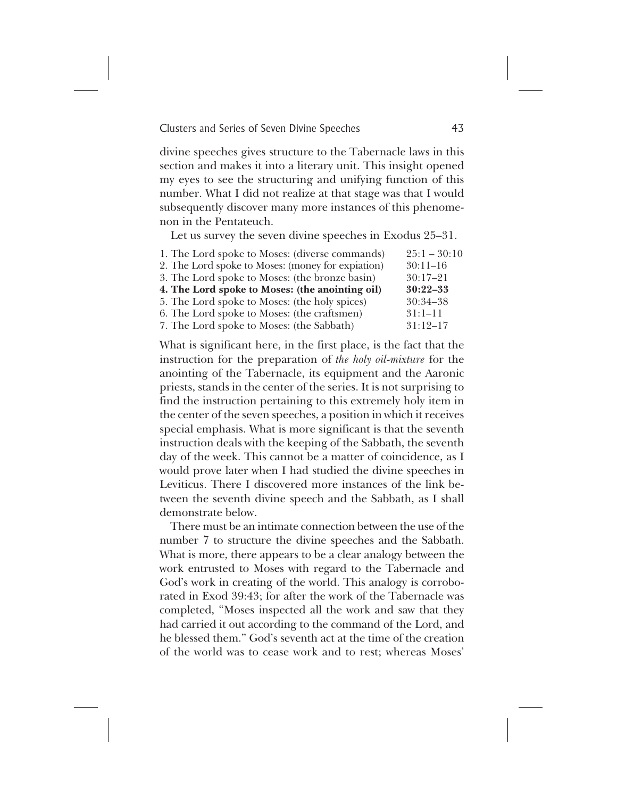divine speeches gives structure to the Tabernacle laws in this section and makes it into a literary unit. This insight opened my eyes to see the structuring and unifying function of this number. What I did not realize at that stage was that I would subsequently discover many more instances of this phenomenon in the Pentateuch.

Let us survey the seven divine speeches in Exodus 25–31.

| 1. The Lord spoke to Moses: (diverse commands)    | $25:1 - 30:10$ |
|---------------------------------------------------|----------------|
| 2. The Lord spoke to Moses: (money for expiation) | $30:11-16$     |
| 3. The Lord spoke to Moses: (the bronze basin)    | $30:17 - 21$   |
| 4. The Lord spoke to Moses: (the anointing oil)   | $30:22 - 33$   |
| 5. The Lord spoke to Moses: (the holy spices)     | $30:34 - 38$   |
| 6. The Lord spoke to Moses: (the craftsmen)       | $31:1-11$      |
| 7. The Lord spoke to Moses: (the Sabbath)         | $31:12-17$     |

What is significant here, in the first place, is the fact that the instruction for the preparation of *the holy oil-mixture* for the anointing of the Tabernacle, its equipment and the Aaronic priests, stands in the center of the series. It is not surprising to find the instruction pertaining to this extremely holy item in the center of the seven speeches, a position in which it receives special emphasis. What is more significant is that the seventh instruction deals with the keeping of the Sabbath, the seventh day of the week. This cannot be a matter of coincidence, as I would prove later when I had studied the divine speeches in Leviticus. There I discovered more instances of the link between the seventh divine speech and the Sabbath, as I shall demonstrate below.

There must be an intimate connection between the use of the number 7 to structure the divine speeches and the Sabbath. What is more, there appears to be a clear analogy between the work entrusted to Moses with regard to the Tabernacle and God's work in creating of the world. This analogy is corroborated in Exod 39:43; for after the work of the Tabernacle was completed, "Moses inspected all the work and saw that they had carried it out according to the command of the Lord, and he blessed them." God's seventh act at the time of the creation of the world was to cease work and to rest; whereas Moses'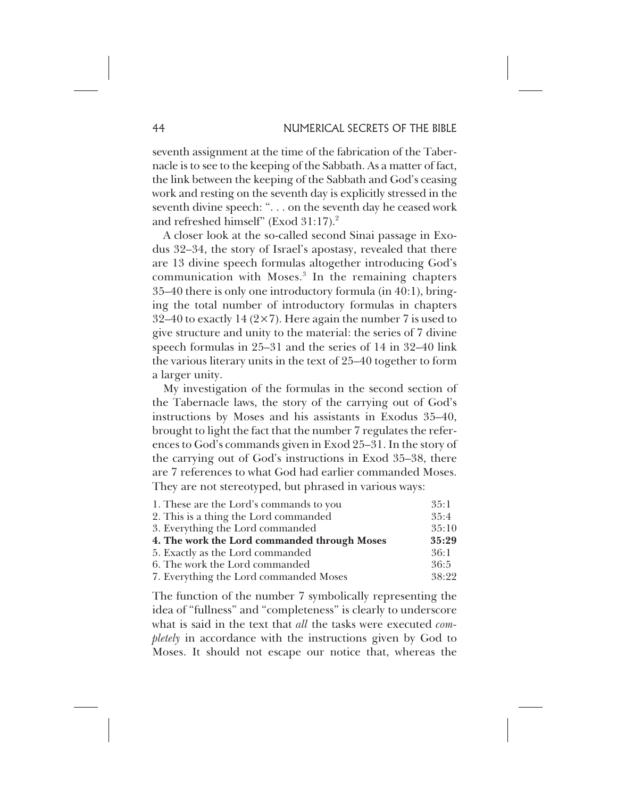seventh assignment at the time of the fabrication of the Tabernacle is to see to the keeping of the Sabbath. As a matter of fact, the link between the keeping of the Sabbath and God's ceasing work and resting on the seventh day is explicitly stressed in the seventh divine speech: ". . . on the seventh day he ceased work and refreshed himself" (Exod 31:17).<sup>2</sup>

A closer look at the so-called second Sinai passage in Exodus 32–34, the story of Israel's apostasy, revealed that there are 13 divine speech formulas altogether introducing God's communication with Moses.<sup>3</sup> In the remaining chapters 35–40 there is only one introductory formula (in 40:1), bringing the total number of introductory formulas in chapters 32–40 to exactly 14 ( $2\times7$ ). Here again the number 7 is used to give structure and unity to the material: the series of 7 divine speech formulas in 25–31 and the series of 14 in 32–40 link the various literary units in the text of 25–40 together to form a larger unity.

My investigation of the formulas in the second section of the Tabernacle laws, the story of the carrying out of God's instructions by Moses and his assistants in Exodus 35–40, brought to light the fact that the number 7 regulates the references to God's commands given in Exod 25–31. In the story of the carrying out of God's instructions in Exod 35–38, there are 7 references to what God had earlier commanded Moses. They are not stereotyped, but phrased in various ways:

| 1. These are the Lord's commands to you      | 35:1  |
|----------------------------------------------|-------|
| 2. This is a thing the Lord commanded        | 35:4  |
| 3. Everything the Lord commanded             | 35:10 |
| 4. The work the Lord commanded through Moses | 35:29 |
| 5. Exactly as the Lord commanded             | 36:1  |
| 6. The work the Lord commanded               | 36:5  |
| 7. Everything the Lord commanded Moses       | 38:22 |

The function of the number 7 symbolically representing the idea of "fullness" and "completeness" is clearly to underscore what is said in the text that *all* the tasks were executed *completely* in accordance with the instructions given by God to Moses. It should not escape our notice that, whereas the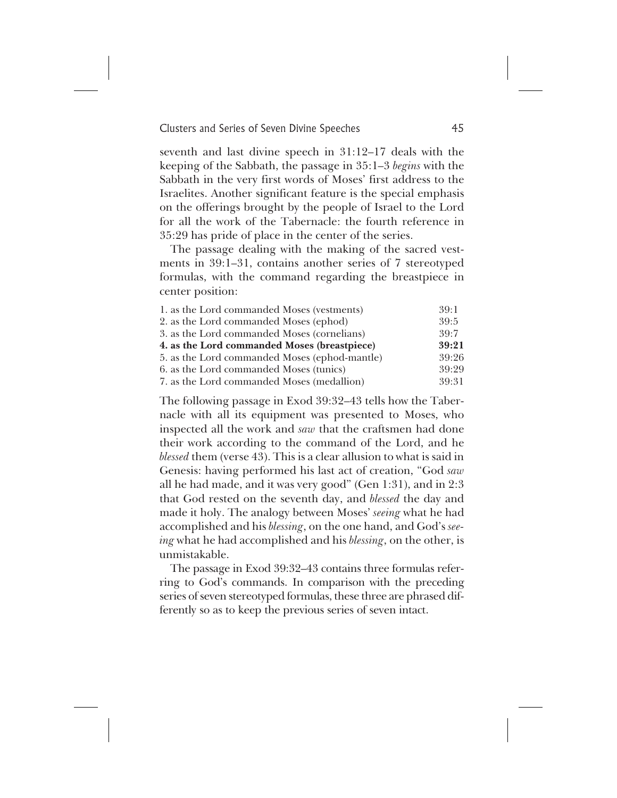seventh and last divine speech in 31:12–17 deals with the keeping of the Sabbath, the passage in 35:1–3 *begins* with the Sabbath in the very first words of Moses' first address to the Israelites. Another significant feature is the special emphasis on the offerings brought by the people of Israel to the Lord for all the work of the Tabernacle: the fourth reference in 35:29 has pride of place in the center of the series.

The passage dealing with the making of the sacred vestments in 39:1–31, contains another series of 7 stereotyped formulas, with the command regarding the breastpiece in center position:

| 1. as the Lord commanded Moses (vestments)    | 39:1  |
|-----------------------------------------------|-------|
| 2. as the Lord commanded Moses (ephod)        | 39:5  |
| 3. as the Lord commanded Moses (cornelians)   | 39:7  |
| 4. as the Lord commanded Moses (breastpiece)  | 39:21 |
| 5. as the Lord commanded Moses (ephod-mantle) | 39:26 |
| 6. as the Lord commanded Moses (tunics)       | 39:29 |
| 7. as the Lord commanded Moses (medallion)    | 39:31 |

The following passage in Exod 39:32–43 tells how the Tabernacle with all its equipment was presented to Moses, who inspected all the work and *saw* that the craftsmen had done their work according to the command of the Lord, and he *blessed* them (verse 43). This is a clear allusion to what is said in Genesis: having performed his last act of creation, "God *saw* all he had made, and it was very good" (Gen 1:31), and in 2:3 that God rested on the seventh day, and *blessed* the day and made it holy. The analogy between Moses' *seeing* what he had accomplished and his *blessing*, on the one hand, and God's *seeing* what he had accomplished and his *blessing*, on the other, is unmistakable.

The passage in Exod 39:32–43 contains three formulas referring to God's commands. In comparison with the preceding series of seven stereotyped formulas, these three are phrased differently so as to keep the previous series of seven intact.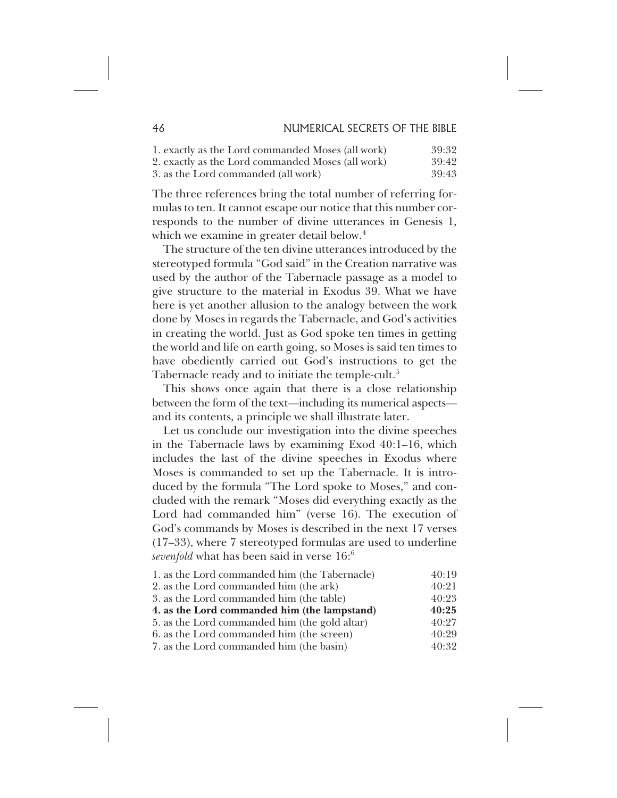| 1. exactly as the Lord commanded Moses (all work) | 39:32 |
|---------------------------------------------------|-------|
| 2. exactly as the Lord commanded Moses (all work) | 39:42 |
| 3. as the Lord commanded (all work)               | 39:43 |

The three references bring the total number of referring formulas to ten. It cannot escape our notice that this number corresponds to the number of divine utterances in Genesis 1, which we examine in greater detail below.<sup>4</sup>

The structure of the ten divine utterances introduced by the stereotyped formula "God said" in the Creation narrative was used by the author of the Tabernacle passage as a model to give structure to the material in Exodus 39. What we have here is yet another allusion to the analogy between the work done by Moses in regards the Tabernacle, and God's activities in creating the world. Just as God spoke ten times in getting the world and life on earth going, so Moses is said ten times to have obediently carried out God's instructions to get the Tabernacle ready and to initiate the temple-cult.<sup>5</sup>

This shows once again that there is a close relationship between the form of the text—including its numerical aspects and its contents, a principle we shall illustrate later.

Let us conclude our investigation into the divine speeches in the Tabernacle laws by examining Exod 40:1–16, which includes the last of the divine speeches in Exodus where Moses is commanded to set up the Tabernacle. It is introduced by the formula "The Lord spoke to Moses," and concluded with the remark "Moses did everything exactly as the Lord had commanded him" (verse 16). The execution of God's commands by Moses is described in the next 17 verses (17–33), where 7 stereotyped formulas are used to underline *sevenfold* what has been said in verse 16:6

| 1. as the Lord commanded him (the Tabernacle) | 40:19 |
|-----------------------------------------------|-------|
| 2. as the Lord commanded him (the ark)        | 40:21 |
| 3. as the Lord commanded him (the table)      | 40:23 |
| 4. as the Lord commanded him (the lampstand)  | 40:25 |
| 5. as the Lord commanded him (the gold altar) | 40:27 |
| 6. as the Lord commanded him (the screen)     | 40:29 |
| 7. as the Lord commanded him (the basin)      | 40:32 |
|                                               |       |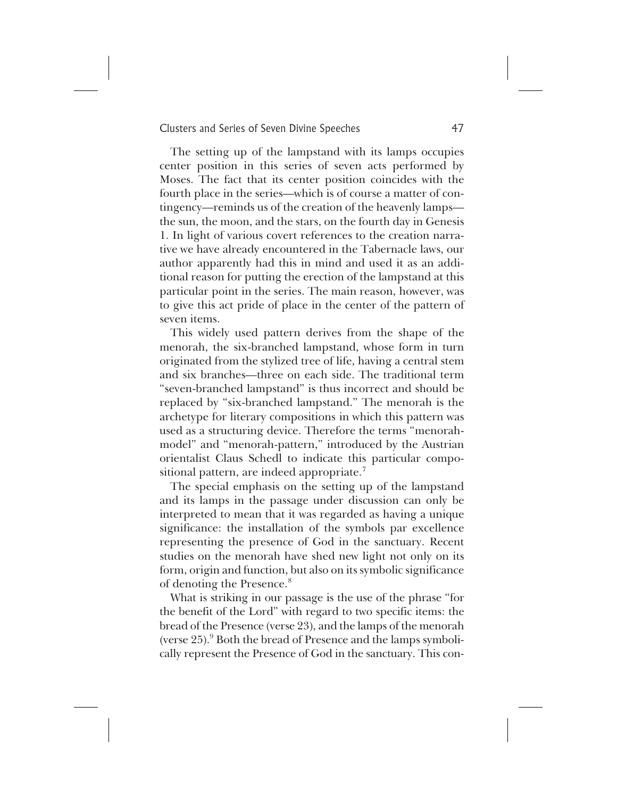The setting up of the lampstand with its lamps occupies center position in this series of seven acts performed by Moses. The fact that its center position coincides with the fourth place in the series—which is of course a matter of contingency—reminds us of the creation of the heavenly lamps the sun, the moon, and the stars, on the fourth day in Genesis 1. In light of various covert references to the creation narrative we have already encountered in the Tabernacle laws, our author apparently had this in mind and used it as an additional reason for putting the erection of the lampstand at this particular point in the series. The main reason, however, was to give this act pride of place in the center of the pattern of seven items.

This widely used pattern derives from the shape of the menorah, the six-branched lampstand, whose form in turn originated from the stylized tree of life, having a central stem and six branches—three on each side. The traditional term "seven-branched lampstand" is thus incorrect and should be replaced by "six-branched lampstand." The menorah is the archetype for literary compositions in which this pattern was used as a structuring device. Therefore the terms "menorahmodel" and "menorah-pattern," introduced by the Austrian orientalist Claus Schedl to indicate this particular compositional pattern, are indeed appropriate.<sup>7</sup>

The special emphasis on the setting up of the lampstand and its lamps in the passage under discussion can only be interpreted to mean that it was regarded as having a unique significance: the installation of the symbols par excellence representing the presence of God in the sanctuary. Recent studies on the menorah have shed new light not only on its form, origin and function, but also on its symbolic significance of denoting the Presence.<sup>8</sup>

What is striking in our passage is the use of the phrase "for the benefit of the Lord" with regard to two specific items: the bread of the Presence (verse 23), and the lamps of the menorah (verse  $25$ ).  $9$  Both the bread of Presence and the lamps symbolically represent the Presence of God in the sanctuary. This con-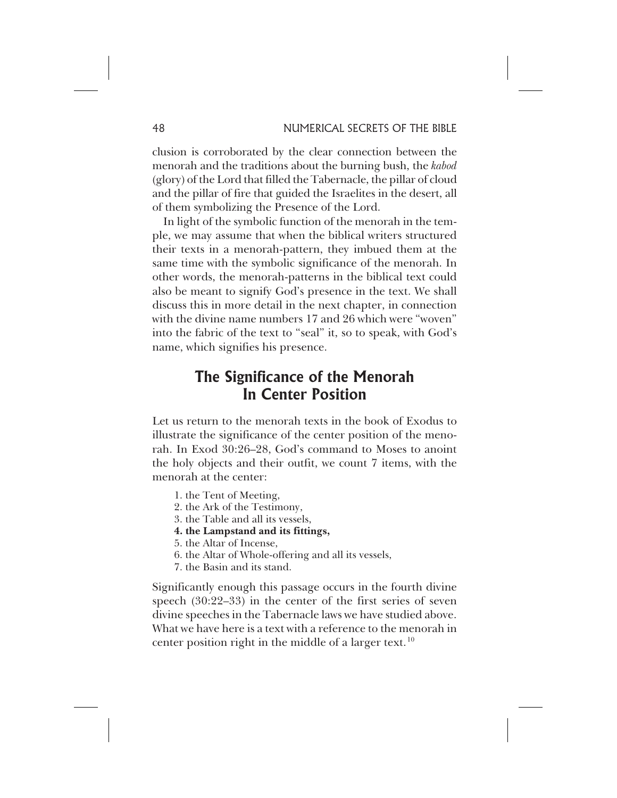clusion is corroborated by the clear connection between the menorah and the traditions about the burning bush, the *kabod* (glory) of the Lord that filled the Tabernacle, the pillar of cloud and the pillar of fire that guided the Israelites in the desert, all of them symbolizing the Presence of the Lord.

In light of the symbolic function of the menorah in the temple, we may assume that when the biblical writers structured their texts in a menorah-pattern, they imbued them at the same time with the symbolic significance of the menorah. In other words, the menorah-patterns in the biblical text could also be meant to signify God's presence in the text. We shall discuss this in more detail in the next chapter, in connection with the divine name numbers 17 and 26 which were "woven" into the fabric of the text to "seal" it, so to speak, with God's name, which signifies his presence.

## **The Significance of the Menorah In Center Position**

Let us return to the menorah texts in the book of Exodus to illustrate the significance of the center position of the menorah. In Exod 30:26–28, God's command to Moses to anoint the holy objects and their outfit, we count 7 items, with the menorah at the center:

- 1. the Tent of Meeting,
- 2. the Ark of the Testimony,
- 3. the Table and all its vessels,
- **4. the Lampstand and its fittings,**
- 5. the Altar of Incense,
- 6. the Altar of Whole-offering and all its vessels,
- 7. the Basin and its stand.

Significantly enough this passage occurs in the fourth divine speech (30:22–33) in the center of the first series of seven divine speeches in the Tabernacle laws we have studied above. What we have here is a text with a reference to the menorah in center position right in the middle of a larger text.<sup>10</sup>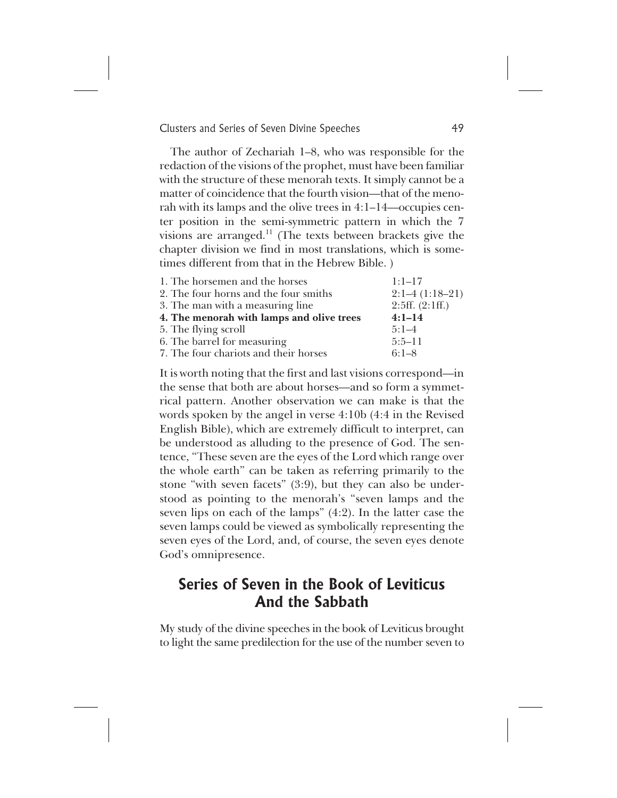The author of Zechariah 1–8, who was responsible for the redaction of the visions of the prophet, must have been familiar with the structure of these menorah texts. It simply cannot be a matter of coincidence that the fourth vision—that of the menorah with its lamps and the olive trees in 4:1–14—occupies center position in the semi-symmetric pattern in which the 7 visions are arranged. $11$  (The texts between brackets give the chapter division we find in most translations, which is sometimes different from that in the Hebrew Bible. )

| $1:1-17$         |
|------------------|
| $2:1-4(1:18-21)$ |
| 2:5ff. (2:1ff.)  |
| $4:1-14$         |
| $5:1-4$          |
| $5:5-11$         |
| $6:1 - 8$        |
|                  |

It is worth noting that the first and last visions correspond—in the sense that both are about horses—and so form a symmetrical pattern. Another observation we can make is that the words spoken by the angel in verse 4:10b (4:4 in the Revised English Bible), which are extremely difficult to interpret, can be understood as alluding to the presence of God. The sentence, "These seven are the eyes of the Lord which range over the whole earth" can be taken as referring primarily to the stone "with seven facets" (3:9), but they can also be understood as pointing to the menorah's "seven lamps and the seven lips on each of the lamps" (4:2). In the latter case the seven lamps could be viewed as symbolically representing the seven eyes of the Lord, and, of course, the seven eyes denote God's omnipresence.

## **Series of Seven in the Book of Leviticus And the Sabbath**

My study of the divine speeches in the book of Leviticus brought to light the same predilection for the use of the number seven to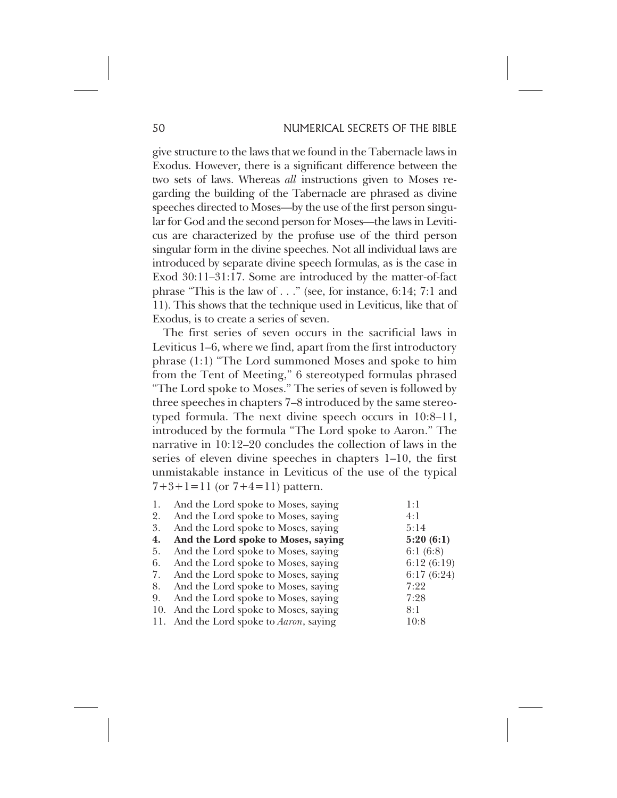give structure to the laws that we found in the Tabernacle laws in Exodus. However, there is a significant difference between the two sets of laws. Whereas *all* instructions given to Moses regarding the building of the Tabernacle are phrased as divine speeches directed to Moses—by the use of the first person singular for God and the second person for Moses—the laws in Leviticus are characterized by the profuse use of the third person singular form in the divine speeches. Not all individual laws are introduced by separate divine speech formulas, as is the case in Exod 30:11–31:17. Some are introduced by the matter-of-fact phrase "This is the law of . . ." (see, for instance, 6:14; 7:1 and 11). This shows that the technique used in Leviticus, like that of Exodus, is to create a series of seven.

The first series of seven occurs in the sacrificial laws in Leviticus 1–6, where we find, apart from the first introductory phrase (1:1) "The Lord summoned Moses and spoke to him from the Tent of Meeting," 6 stereotyped formulas phrased "The Lord spoke to Moses." The series of seven is followed by three speeches in chapters 7–8 introduced by the same stereotyped formula. The next divine speech occurs in 10:8–11, introduced by the formula "The Lord spoke to Aaron." The narrative in 10:12–20 concludes the collection of laws in the series of eleven divine speeches in chapters 1–10, the first unmistakable instance in Leviticus of the use of the typical  $7+3+1=11$  (or  $7+4=11$ ) pattern.

| 1.  | And the Lord spoke to Moses, saying             | 1:1        |
|-----|-------------------------------------------------|------------|
| 2.  | And the Lord spoke to Moses, saying             | 4:1        |
| 3.  | And the Lord spoke to Moses, saying             | 5:14       |
| 4.  | And the Lord spoke to Moses, saying             | 5:20(6:1)  |
| 5.  | And the Lord spoke to Moses, saying             | 6:1(6:8)   |
| 6.  | And the Lord spoke to Moses, saying             | 6:12(6:19) |
| 7.  | And the Lord spoke to Moses, saying             | 6:17(6:24) |
| 8.  | And the Lord spoke to Moses, saying             | 7:22       |
| 9.  | And the Lord spoke to Moses, saying             | 7:28       |
| 10. | And the Lord spoke to Moses, saying             | 8:1        |
|     | 11. And the Lord spoke to <i>Aaron</i> , saying | 10:8       |
|     |                                                 |            |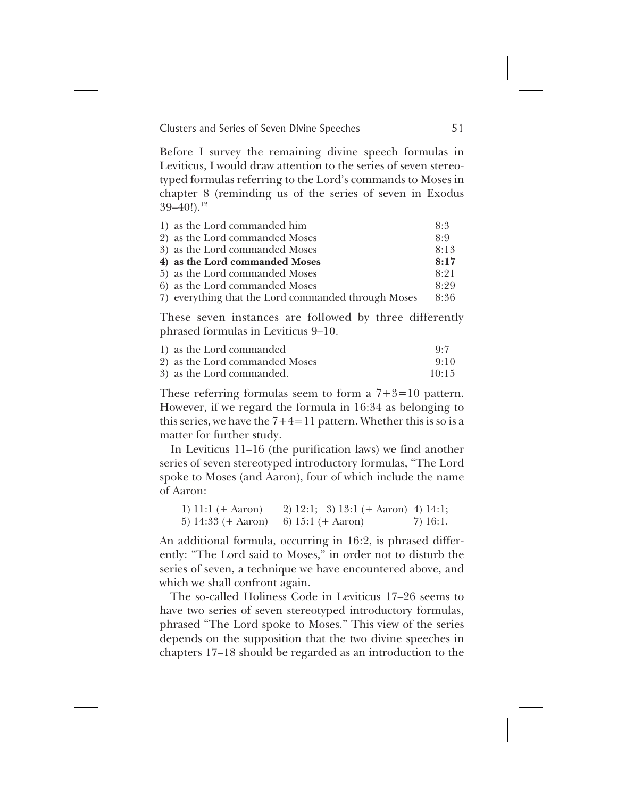Before I survey the remaining divine speech formulas in Leviticus, I would draw attention to the series of seven stereotyped formulas referring to the Lord's commands to Moses in chapter 8 (reminding us of the series of seven in Exodus  $39-40!)$ <sup>12</sup>

| 1) as the Lord commanded him                        | 8:3  |
|-----------------------------------------------------|------|
| 2) as the Lord commanded Moses                      | 8.9  |
| 3) as the Lord commanded Moses                      | 8:13 |
| 4) as the Lord commanded Moses                      | 8:17 |
| 5) as the Lord commanded Moses                      | 8:21 |
| 6) as the Lord commanded Moses                      | 8:29 |
| 7) everything that the Lord commanded through Moses | 8:36 |

These seven instances are followed by three differently phrased formulas in Leviticus 9–10.

| 1) as the Lord commanded       | Q·7   |
|--------------------------------|-------|
| 2) as the Lord commanded Moses | 9:10  |
| 3) as the Lord commanded.      | 10:15 |

These referring formulas seem to form a  $7+3=10$  pattern. However, if we regard the formula in 16:34 as belonging to this series, we have the  $7+4=11$  pattern. Whether this is so is a matter for further study.

In Leviticus 11–16 (the purification laws) we find another series of seven stereotyped introductory formulas, "The Lord spoke to Moses (and Aaron), four of which include the name of Aaron:

| 1) $11:1 (+ \text{ Aaron})$  | 2) $12:1$ ; 3) $13:1$ (+ Aaron) 4) $14:1$ ; |          |
|------------------------------|---------------------------------------------|----------|
| 5) $14:33 (+ \text{ Aaron})$ | 6) $15:1 (+ \text{ Aaron})$                 | 7) 16:1. |

An additional formula, occurring in 16:2, is phrased differently: "The Lord said to Moses," in order not to disturb the series of seven, a technique we have encountered above, and which we shall confront again.

The so-called Holiness Code in Leviticus 17–26 seems to have two series of seven stereotyped introductory formulas, phrased "The Lord spoke to Moses." This view of the series depends on the supposition that the two divine speeches in chapters 17–18 should be regarded as an introduction to the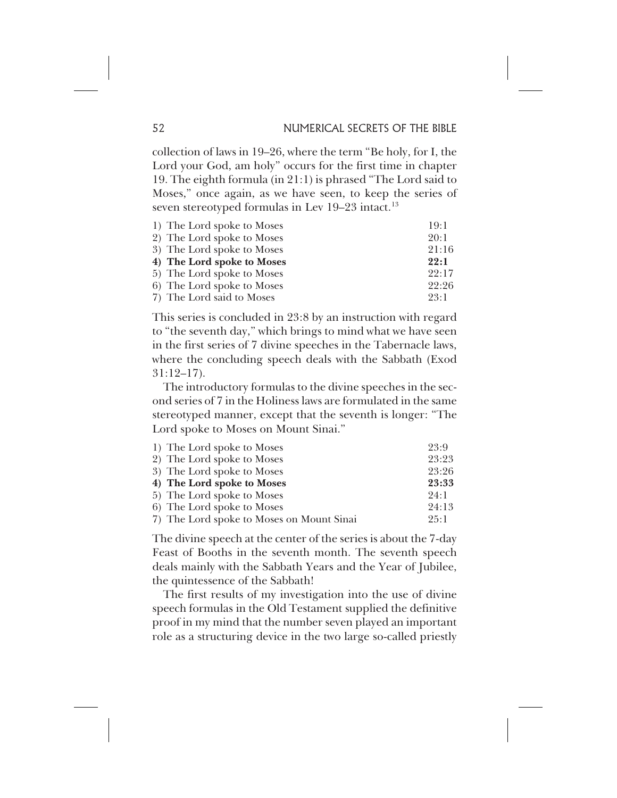collection of laws in 19–26, where the term "Be holy, for I, the Lord your God, am holy" occurs for the first time in chapter 19. The eighth formula (in 21:1) is phrased "The Lord said to Moses," once again, as we have seen, to keep the series of seven stereotyped formulas in Lev 19-23 intact.<sup>13</sup>

| 1) The Lord spoke to Moses | 19:1  |
|----------------------------|-------|
| 2) The Lord spoke to Moses | 20:1  |
| 3) The Lord spoke to Moses | 21:16 |
| 4) The Lord spoke to Moses | 22:1  |
| 5) The Lord spoke to Moses | 22:17 |
| 6) The Lord spoke to Moses | 22:26 |
| 7) The Lord said to Moses  | 23:1  |

This series is concluded in 23:8 by an instruction with regard to "the seventh day," which brings to mind what we have seen in the first series of 7 divine speeches in the Tabernacle laws, where the concluding speech deals with the Sabbath (Exod 31:12–17).

The introductory formulas to the divine speeches in the second series of 7 in the Holiness laws are formulated in the same stereotyped manner, except that the seventh is longer: "The Lord spoke to Moses on Mount Sinai."

| 23:9  |
|-------|
| 23:23 |
| 23:26 |
| 23:33 |
| 24:1  |
| 24:13 |
| 25:1  |
|       |

The divine speech at the center of the series is about the 7-day Feast of Booths in the seventh month. The seventh speech deals mainly with the Sabbath Years and the Year of Jubilee, the quintessence of the Sabbath!

The first results of my investigation into the use of divine speech formulas in the Old Testament supplied the definitive proof in my mind that the number seven played an important role as a structuring device in the two large so-called priestly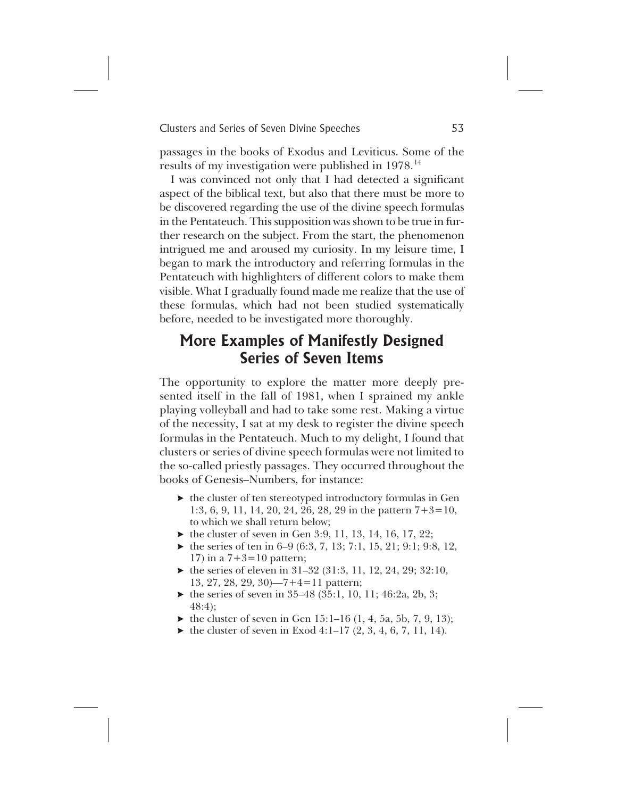passages in the books of Exodus and Leviticus. Some of the results of my investigation were published in 1978.<sup>14</sup>

I was convinced not only that I had detected a significant aspect of the biblical text, but also that there must be more to be discovered regarding the use of the divine speech formulas in the Pentateuch. This supposition was shown to be true in further research on the subject. From the start, the phenomenon intrigued me and aroused my curiosity. In my leisure time, I began to mark the introductory and referring formulas in the Pentateuch with highlighters of different colors to make them visible. What I gradually found made me realize that the use of these formulas, which had not been studied systematically before, needed to be investigated more thoroughly.

## **More Examples of Manifestly Designed Series of Seven Items**

The opportunity to explore the matter more deeply presented itself in the fall of 1981, when I sprained my ankle playing volleyball and had to take some rest. Making a virtue of the necessity, I sat at my desk to register the divine speech formulas in the Pentateuch. Much to my delight, I found that clusters or series of divine speech formulas were not limited to the so-called priestly passages. They occurred throughout the books of Genesis–Numbers, for instance:

- $\blacktriangleright$  the cluster of ten stereotyped introductory formulas in Gen 1:3, 6, 9, 11, 14, 20, 24, 26, 28, 29 in the pattern 7+3=10, to which we shall return below;
- $\blacktriangleright$  the cluster of seven in Gen 3:9, 11, 13, 14, 16, 17, 22;
- $\blacktriangleright$  the series of ten in 6–9 (6:3, 7, 13; 7:1, 15, 21; 9:1; 9:8, 12, 17) in a  $7+3=10$  pattern;
- $\blacktriangleright$  the series of eleven in 31–32 (31:3, 11, 12, 24, 29; 32:10, 13, 27, 28, 29, 30)—7+4=11 pattern;
- $\blacktriangleright$  the series of seven in 35–48 (35:1, 10, 11; 46:2a, 2b, 3; 48:4);
- $\blacktriangleright$  the cluster of seven in Gen 15:1–16 (1, 4, 5a, 5b, 7, 9, 13);
- $\blacktriangleright$  the cluster of seven in Exod 4:1–17 (2, 3, 4, 6, 7, 11, 14).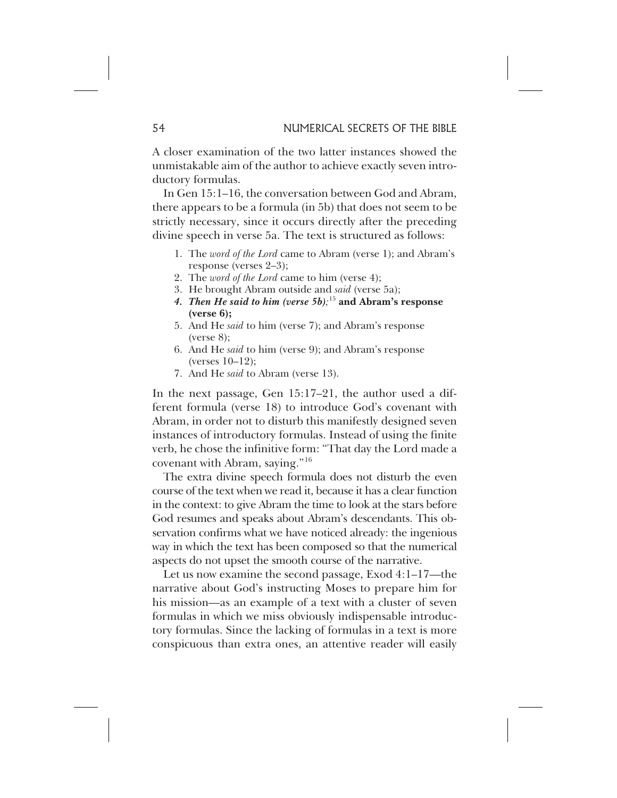A closer examination of the two latter instances showed the unmistakable aim of the author to achieve exactly seven introductory formulas.

In Gen 15:1–16, the conversation between God and Abram, there appears to be a formula (in 5b) that does not seem to be strictly necessary, since it occurs directly after the preceding divine speech in verse 5a. The text is structured as follows:

- 1. The *word of the Lord* came to Abram (verse 1); and Abram's response (verses 2–3);
- 2. The *word of the Lord* came to him (verse 4);
- 3. He brought Abram outside and *said* (verse 5a);
- *4. Then He said to him (verse 5b);* <sup>15</sup> **and Abram's response (verse 6);**
- 5. And He *said* to him (verse 7); and Abram's response  $(verse 8);$
- 6. And He *said* to him (verse 9); and Abram's response (verses 10–12);
- 7. And He *said* to Abram (verse 13).

In the next passage, Gen 15:17–21, the author used a different formula (verse 18) to introduce God's covenant with Abram, in order not to disturb this manifestly designed seven instances of introductory formulas. Instead of using the finite verb, he chose the infinitive form: "That day the Lord made a covenant with Abram, saying."<sup>16</sup>

The extra divine speech formula does not disturb the even course of the text when we read it, because it has a clear function in the context: to give Abram the time to look at the stars before God resumes and speaks about Abram's descendants. This observation confirms what we have noticed already: the ingenious way in which the text has been composed so that the numerical aspects do not upset the smooth course of the narrative.

Let us now examine the second passage, Exod 4:1–17—the narrative about God's instructing Moses to prepare him for his mission—as an example of a text with a cluster of seven formulas in which we miss obviously indispensable introductory formulas. Since the lacking of formulas in a text is more conspicuous than extra ones, an attentive reader will easily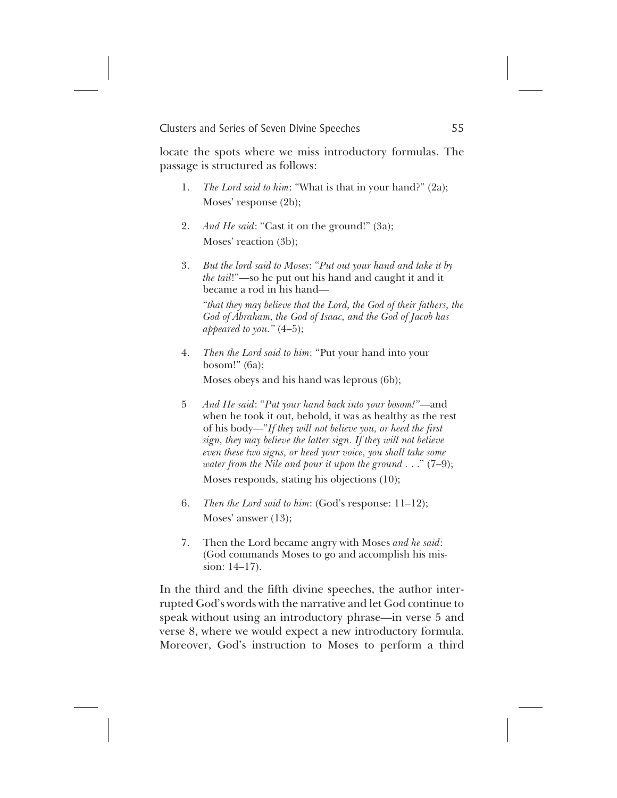locate the spots where we miss introductory formulas. The passage is structured as follows:

- 1. *The Lord said to him*: "What is that in your hand?" (2a); Moses' response (2b);
- 2. *And He said*: "Cast it on the ground!" (3a); Moses' reaction (3b);
- 3. *But the lord said to Moses*: "*Put out your hand and take it by the tail*!"—so he put out his hand and caught it and it became a rod in his hand—

"*that they may believe that the Lord, the God of their fathers, the God of Abraham, the God of Isaac, and the God of Jacob has appeared to you."* (4–5);

4. *Then the Lord said to him*: "Put your hand into your bosom!" (6a); Moses obeys and his hand was leprous (6b);

5 *And He said*: "*Put your hand back into your bosom!"*—and when he took it out, behold, it was as healthy as the rest of his body—"*If they will not believe you, or heed the first sign, they may believe the latter sign. If they will not believe even these two signs, or heed your voice, you shall take some*

*water from the Nile and pour it upon the ground .* . ." (7–9); Moses responds, stating his objections (10);

- 6. *Then the Lord said to him*: (God's response: 11–12); Moses' answer (13);
- 7. Then the Lord became angry with Moses *and he said*: (God commands Moses to go and accomplish his mission: 14–17).

In the third and the fifth divine speeches, the author interrupted God's words with the narrative and let God continue to speak without using an introductory phrase—in verse 5 and verse 8, where we would expect a new introductory formula. Moreover, God's instruction to Moses to perform a third